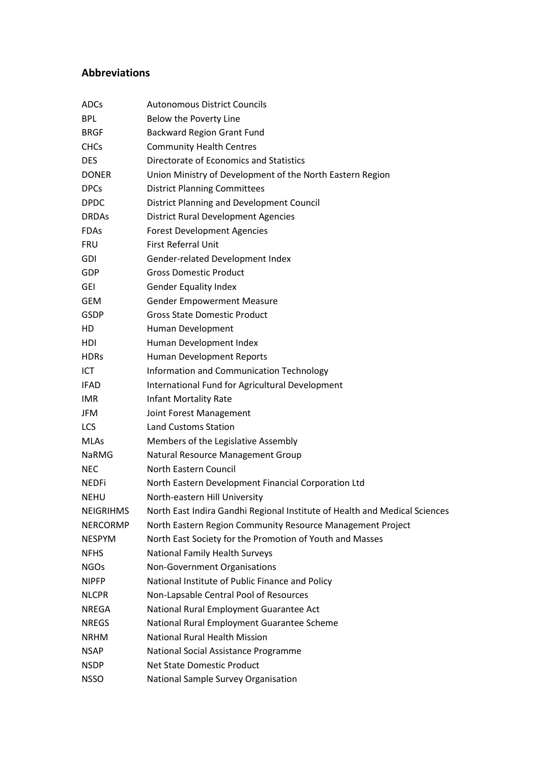## **Abbreviations**

| <b>ADCs</b>      | <b>Autonomous District Councils</b>                                        |
|------------------|----------------------------------------------------------------------------|
| <b>BPL</b>       | Below the Poverty Line                                                     |
| <b>BRGF</b>      | <b>Backward Region Grant Fund</b>                                          |
| <b>CHCs</b>      | <b>Community Health Centres</b>                                            |
| <b>DES</b>       | Directorate of Economics and Statistics                                    |
| <b>DONER</b>     | Union Ministry of Development of the North Eastern Region                  |
| <b>DPCs</b>      | <b>District Planning Committees</b>                                        |
| <b>DPDC</b>      | <b>District Planning and Development Council</b>                           |
| <b>DRDAs</b>     | <b>District Rural Development Agencies</b>                                 |
| <b>FDAs</b>      | <b>Forest Development Agencies</b>                                         |
| <b>FRU</b>       | First Referral Unit                                                        |
| <b>GDI</b>       | Gender-related Development Index                                           |
| GDP              | <b>Gross Domestic Product</b>                                              |
| <b>GEI</b>       | <b>Gender Equality Index</b>                                               |
| <b>GEM</b>       | <b>Gender Empowerment Measure</b>                                          |
| <b>GSDP</b>      | <b>Gross State Domestic Product</b>                                        |
| HD               | Human Development                                                          |
| HDI              | Human Development Index                                                    |
| <b>HDRs</b>      | Human Development Reports                                                  |
| ICT              | Information and Communication Technology                                   |
| <b>IFAD</b>      | International Fund for Agricultural Development                            |
| <b>IMR</b>       | <b>Infant Mortality Rate</b>                                               |
| <b>JFM</b>       | Joint Forest Management                                                    |
| <b>LCS</b>       | <b>Land Customs Station</b>                                                |
| <b>MLAs</b>      | Members of the Legislative Assembly                                        |
| NaRMG            | Natural Resource Management Group                                          |
| <b>NEC</b>       | North Eastern Council                                                      |
| <b>NEDFi</b>     | North Eastern Development Financial Corporation Ltd                        |
| <b>NEHU</b>      | North-eastern Hill University                                              |
| <b>NEIGRIHMS</b> | North East Indira Gandhi Regional Institute of Health and Medical Sciences |
| <b>NERCORMP</b>  | North Eastern Region Community Resource Management Project                 |
| <b>NESPYM</b>    | North East Society for the Promotion of Youth and Masses                   |
| <b>NFHS</b>      | National Family Health Surveys                                             |
| <b>NGOs</b>      | Non-Government Organisations                                               |
| <b>NIPFP</b>     | National Institute of Public Finance and Policy                            |
| <b>NLCPR</b>     | Non-Lapsable Central Pool of Resources                                     |
| <b>NREGA</b>     | National Rural Employment Guarantee Act                                    |
| <b>NREGS</b>     | National Rural Employment Guarantee Scheme                                 |
| <b>NRHM</b>      | <b>National Rural Health Mission</b>                                       |
| <b>NSAP</b>      | National Social Assistance Programme                                       |
| <b>NSDP</b>      | Net State Domestic Product                                                 |
| <b>NSSO</b>      | National Sample Survey Organisation                                        |